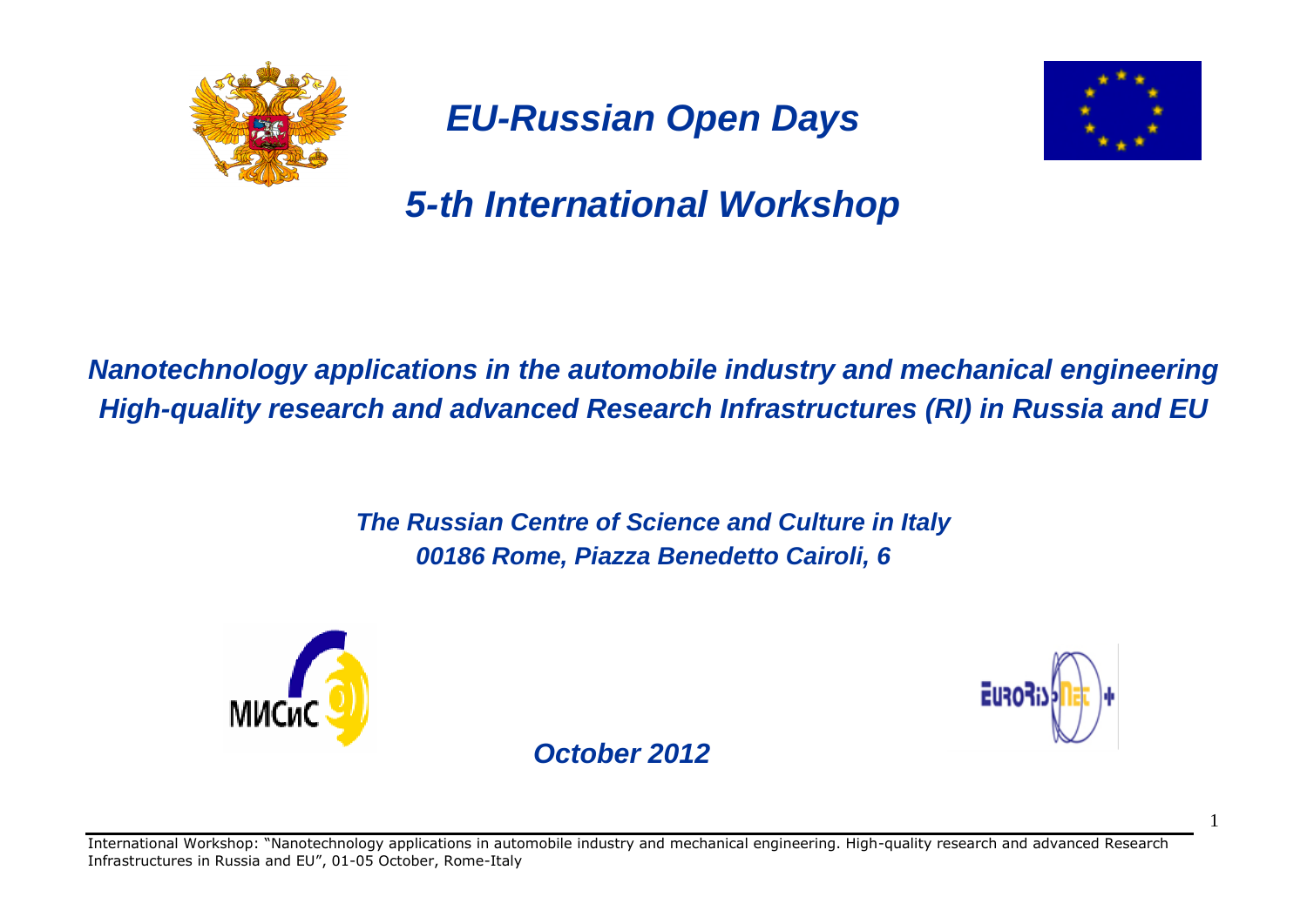

*EU-Russian Open Days*



*5-th International Workshop*

*Nanotechnology applications in the automobile industry and mechanical engineering High-quality research and advanced Research Infrastructures (RI) in Russia and EU*

> *The Russian Centre of Science and Culture in Italy 00186 Rome, Piazza Benedetto Cairoli, 6*





1

 *October 2012*

International Workshop: "Nanotechnology applications in automobile industry and mechanical engineering. High-quality research and advanced Research Infrastructures in Russia and EU", 01-05 October, Rome-Italy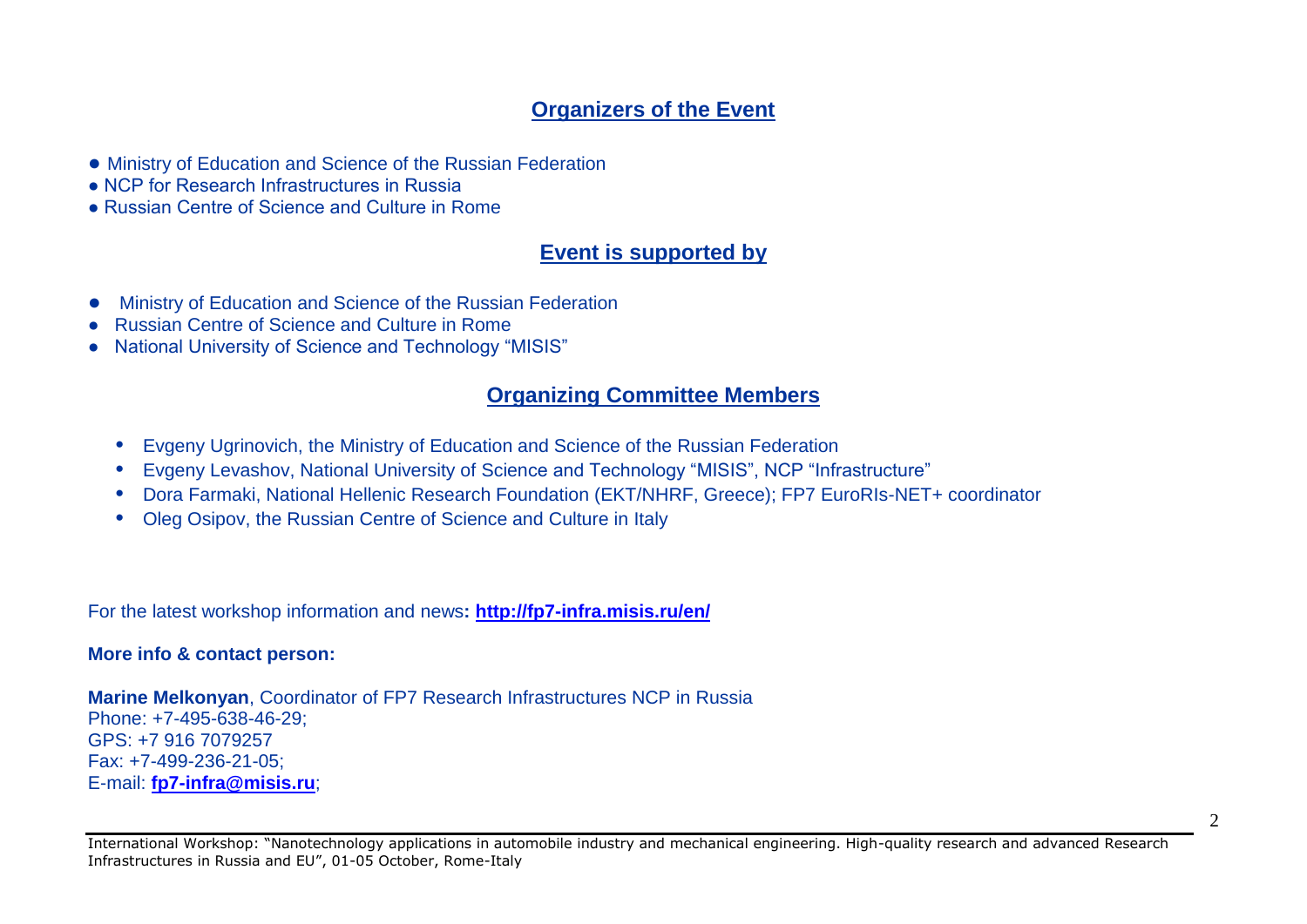# **Organizers of the Event**

- Ministry of Education and Science of the Russian Federation
- NCP for Research Infrastructures in Russia
- Russian Centre of Science and Culture in Rome

# **Event is supported by**

- Ministry of Education and Science of the Russian Federation
- Russian Centre of Science and Culture in Rome
- National University of Science and Technology "MISIS"

## **Organizing Committee Members**

- **•** Evgeny Ugrinovich, the Ministry of Education and Science of the Russian Federation
- **•** Evgeny Levashov, National University of Science and Technology "MISIS", NCP "Infrastructure"
- **•** Dora Farmaki, National Hellenic Research Foundation (EKT/NHRF, Greece); FP7 EuroRIs-NET+ coordinator
- **•** Oleg Osipov, the Russian Centre of Science and Culture in Italy

For the latest workshop information and news**:<http://fp7-infra.misis.ru/en/>**

#### **More info & contact person:**

**Marine Melkonyan**, Coordinator of FP7 Research Infrastructures NCP in Russia Phone: +7-495-638-46-29; GPS: +7 916 7079257 Fax: +7-499-236-21-05; E-mail: **[fp7-infra@misis.ru](mailto:fp7-infra@misis.ru)**;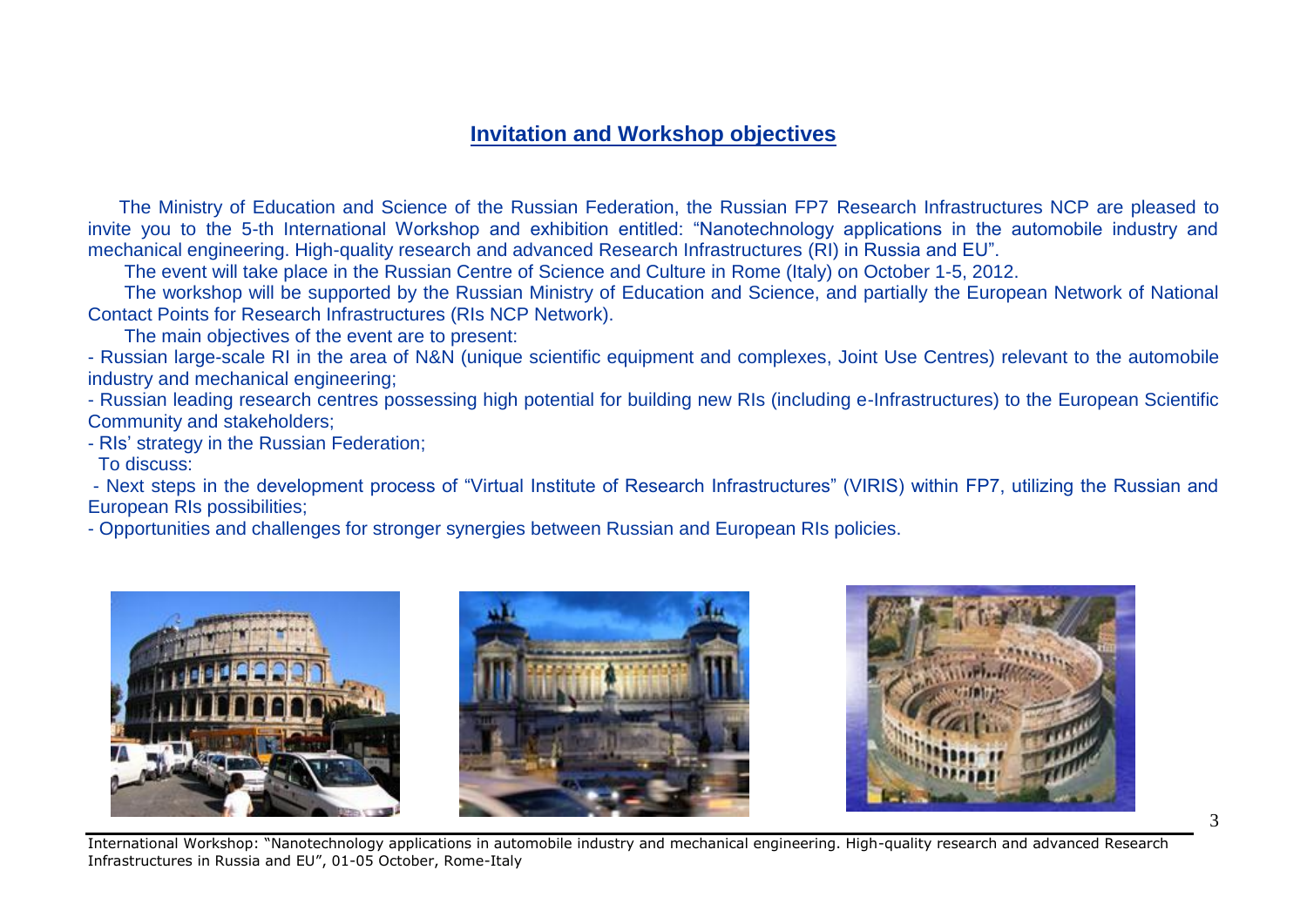### **Invitation and Workshop objectives**

 The Ministry of Education and Science of the Russian Federation, the Russian FP7 Research Infrastructures NCP are pleased to invite you to the 5-th International Workshop and exhibition entitled: "Nanotechnology applications in the automobile industry and mechanical engineering. High-quality research and advanced Research Infrastructures (RI) in Russia and EU".

The event will take place in the Russian Centre of Science and Culture in Rome (Italy) on October 1-5, 2012.

 The workshop will be supported by the Russian Ministry of Education and Science, and partially the European Network of National Contact Points for Research Infrastructures (RIs NCP Network).

The main objectives of the event are to present:

- Russian large-scale RI in the area of N&N (unique scientific equipment and complexes, Joint Use Centres) relevant to the automobile industry and mechanical engineering;

- Russian leading research centres possessing high potential for building new RIs (including e-Infrastructures) to the European Scientific Community and stakeholders;

- RIs' strategy in the Russian Federation;

To discuss:

- Next steps in the development process of "Virtual Institute of Research Infrastructures" (VIRIS) within FP7, utilizing the Russian and European RIs possibilities;

- Opportunities and challenges for stronger synergies between Russian and European RIs policies.



International Workshop: "Nanotechnology applications in automobile industry and mechanical engineering. High-quality research and advanced Research Infrastructures in Russia and EU", 01-05 October, Rome-Italy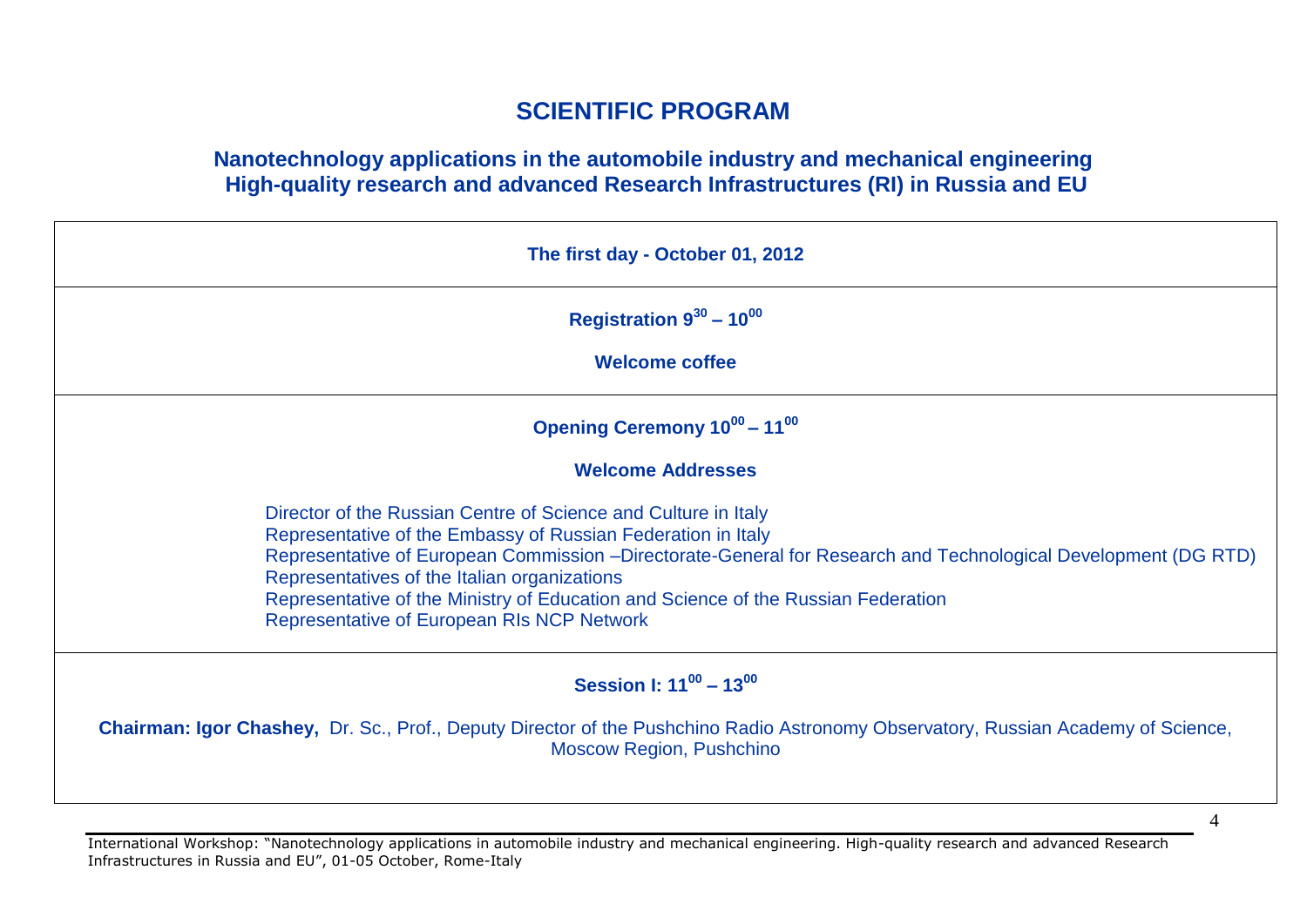# **SCIENTIFIC PROGRAM**

### **Nanotechnology applications in the automobile industry and mechanical engineering High-quality research and advanced Research Infrastructures (RI) in Russia and EU**

| The first day - October 01, 2012                                                                                                                                                                                                                                                                                                                                                                                                    |  |
|-------------------------------------------------------------------------------------------------------------------------------------------------------------------------------------------------------------------------------------------------------------------------------------------------------------------------------------------------------------------------------------------------------------------------------------|--|
| Registration $9^{30}$ – 10 <sup>00</sup>                                                                                                                                                                                                                                                                                                                                                                                            |  |
| <b>Welcome coffee</b>                                                                                                                                                                                                                                                                                                                                                                                                               |  |
| Opening Ceremony 10 <sup>00</sup> - 11 <sup>00</sup>                                                                                                                                                                                                                                                                                                                                                                                |  |
| <b>Welcome Addresses</b>                                                                                                                                                                                                                                                                                                                                                                                                            |  |
| Director of the Russian Centre of Science and Culture in Italy<br>Representative of the Embassy of Russian Federation in Italy<br>Representative of European Commission -Directorate-General for Research and Technological Development (DG RTD)<br>Representatives of the Italian organizations<br>Representative of the Ministry of Education and Science of the Russian Federation<br>Representative of European RIs NCP Network |  |
| Session I: $11^{00} - 13^{00}$                                                                                                                                                                                                                                                                                                                                                                                                      |  |
| <b>Chairman: Igor Chashey, Dr. Sc., Prof., Deputy Director of the Pushchino Radio Astronomy Observatory, Russian Academy of Science,</b><br><b>Moscow Region, Pushchino</b>                                                                                                                                                                                                                                                         |  |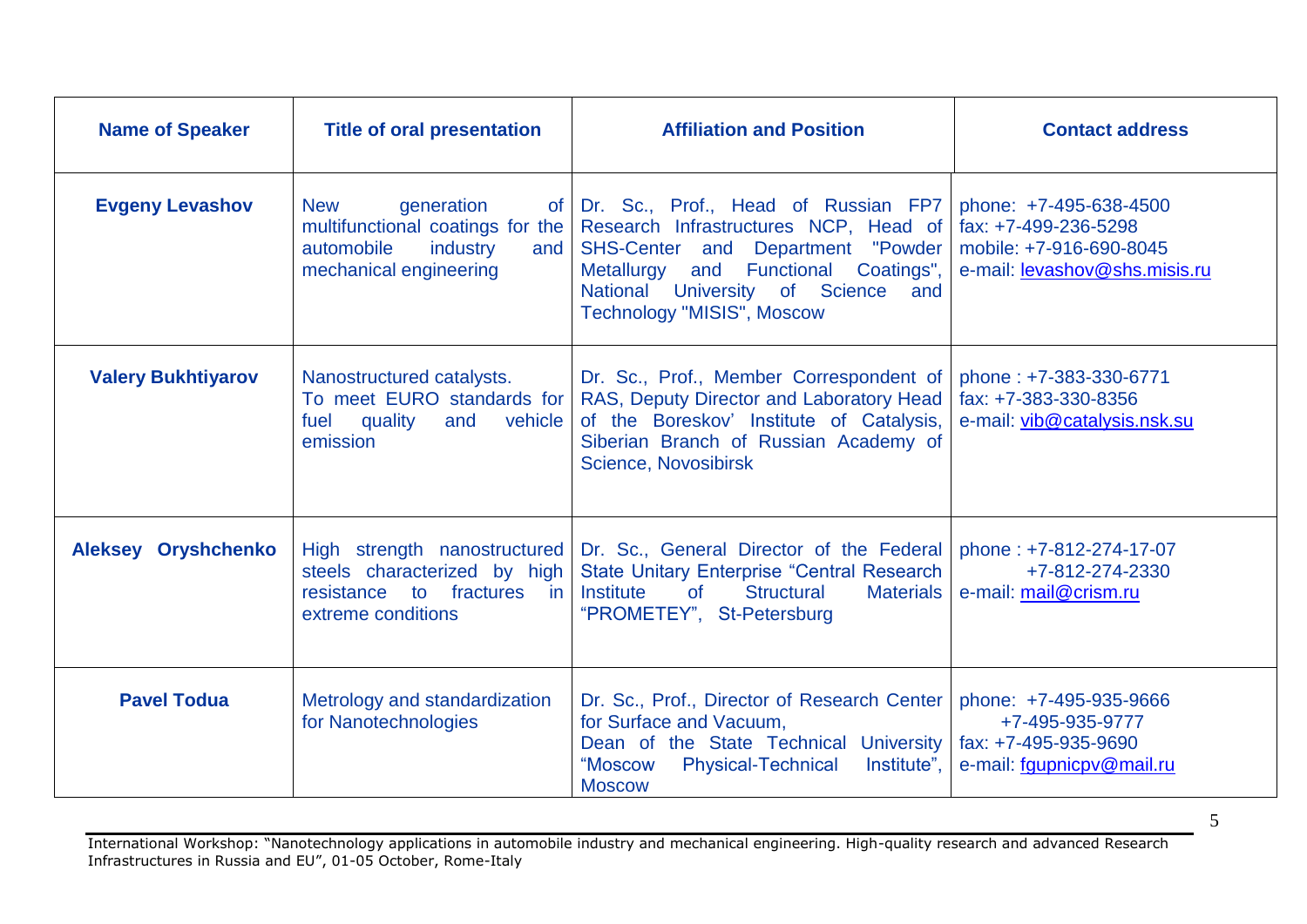| <b>Name of Speaker</b>    | <b>Title of oral presentation</b>                                                                                               | <b>Affiliation and Position</b>                                                                                                                                                                                                               | <b>Contact address</b>                                                                                     |
|---------------------------|---------------------------------------------------------------------------------------------------------------------------------|-----------------------------------------------------------------------------------------------------------------------------------------------------------------------------------------------------------------------------------------------|------------------------------------------------------------------------------------------------------------|
| <b>Evgeny Levashov</b>    | generation<br><b>New</b><br>of .<br>multifunctional coatings for the<br>automobile<br>industry<br>and<br>mechanical engineering | Dr. Sc., Prof., Head of Russian FP7<br>Research Infrastructures NCP, Head of<br>SHS-Center and Department "Powder<br>and Functional<br>Metallurgy<br>Coatings",<br>National University of Science<br>and<br><b>Technology "MISIS", Moscow</b> | phone: +7-495-638-4500<br>fax: +7-499-236-5298<br>mobile: +7-916-690-8045<br>e-mail: levashov@shs.misis.ru |
| <b>Valery Bukhtiyarov</b> | Nanostructured catalysts.<br>To meet EURO standards for<br>quality<br>fuel<br>and<br>vehicle<br>emission                        | Dr. Sc., Prof., Member Correspondent of<br>RAS, Deputy Director and Laboratory Head<br>of the Boreskov' Institute of Catalysis,<br>Siberian Branch of Russian Academy of<br>Science, Novosibirsk                                              | phone: +7-383-330-6771<br>fax: +7-383-330-8356<br>e-mail: vib@catalysis.nsk.su                             |
| Aleksey Oryshchenko       | High strength nanostructured<br>steels characterized by high<br>fractures in<br>resistance<br>to<br>extreme conditions          | Dr. Sc., General Director of the Federal<br><b>State Unitary Enterprise "Central Research"</b><br>of<br>Structural<br>Institute<br><b>Materials</b><br>"PROMETEY", St-Petersburg                                                              | phone: +7-812-274-17-07<br>+7-812-274-2330<br>e-mail: mail@crism.ru                                        |
| <b>Pavel Todua</b>        | Metrology and standardization<br>for Nanotechnologies                                                                           | Dr. Sc., Prof., Director of Research Center<br>for Surface and Vacuum,<br>Dean of the State Technical University<br>"Moscow<br><b>Physical-Technical</b><br>lnstitute".<br><b>Moscow</b>                                                      | phone: +7-495-935-9666<br>+7-495-935-9777<br>fax: +7-495-935-9690<br>e-mail: fgupnicpv@mail.ru             |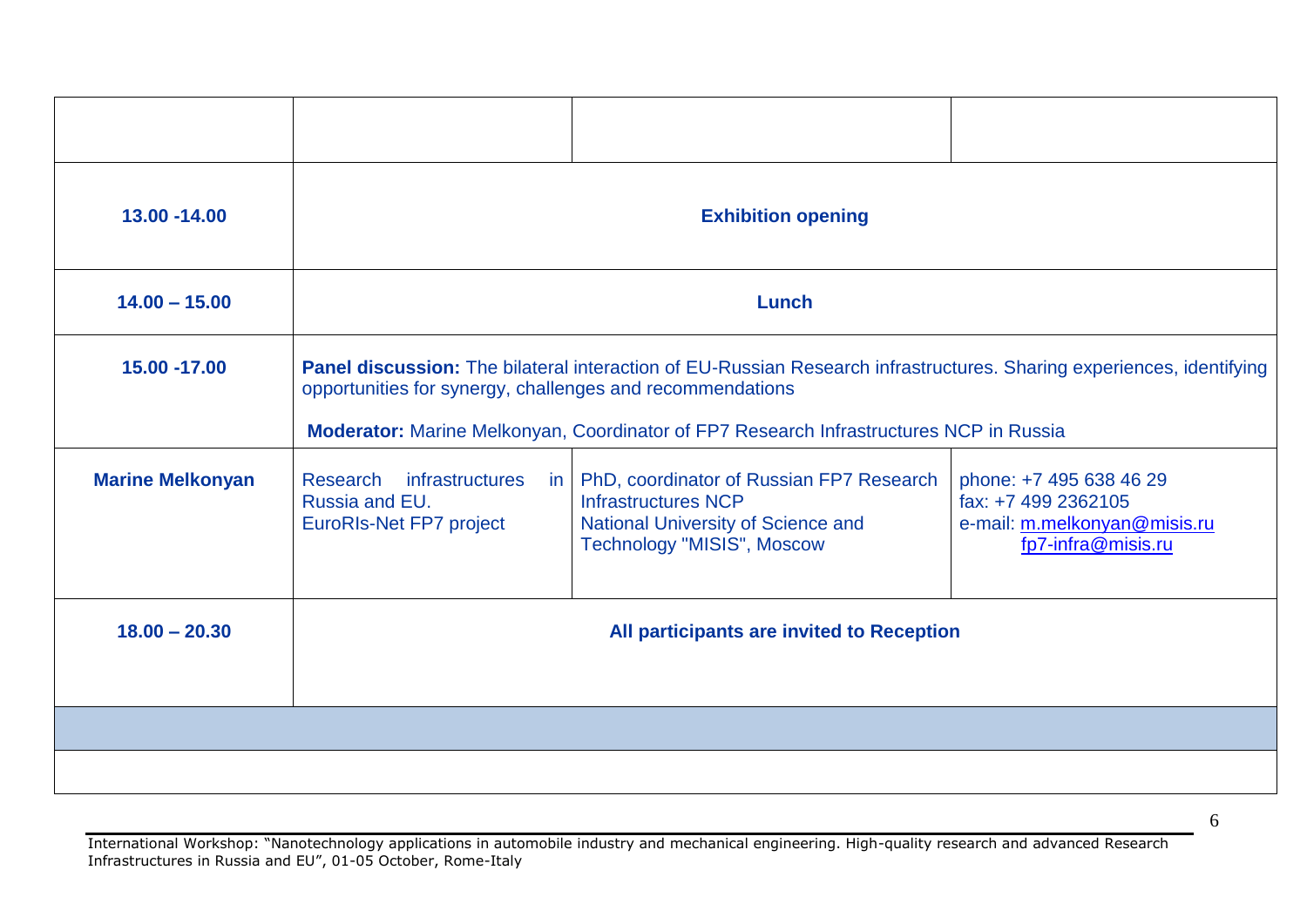| 13.00 - 14.00           | <b>Exhibition opening</b>                                                                                                                                                                                                                                                   |                                                                                                                                            |                                                                                                      |
|-------------------------|-----------------------------------------------------------------------------------------------------------------------------------------------------------------------------------------------------------------------------------------------------------------------------|--------------------------------------------------------------------------------------------------------------------------------------------|------------------------------------------------------------------------------------------------------|
| $14.00 - 15.00$         | Lunch                                                                                                                                                                                                                                                                       |                                                                                                                                            |                                                                                                      |
| 15.00 -17.00            | Panel discussion: The bilateral interaction of EU-Russian Research infrastructures. Sharing experiences, identifying<br>opportunities for synergy, challenges and recommendations<br>Moderator: Marine Melkonyan, Coordinator of FP7 Research Infrastructures NCP in Russia |                                                                                                                                            |                                                                                                      |
| <b>Marine Melkonyan</b> | Research<br><i>infrastructures</i><br>in.<br>Russia and EU.<br><b>EuroRIs-Net FP7 project</b>                                                                                                                                                                               | PhD, coordinator of Russian FP7 Research<br><b>Infrastructures NCP</b><br>National University of Science and<br>Technology "MISIS", Moscow | phone: +7 495 638 46 29<br>fax: +7 499 2362105<br>e-mail: m.melkonyan@misis.ru<br>fp7-infra@misis.ru |
| $18.00 - 20.30$         | All participants are invited to Reception                                                                                                                                                                                                                                   |                                                                                                                                            |                                                                                                      |
|                         |                                                                                                                                                                                                                                                                             |                                                                                                                                            |                                                                                                      |
|                         |                                                                                                                                                                                                                                                                             |                                                                                                                                            |                                                                                                      |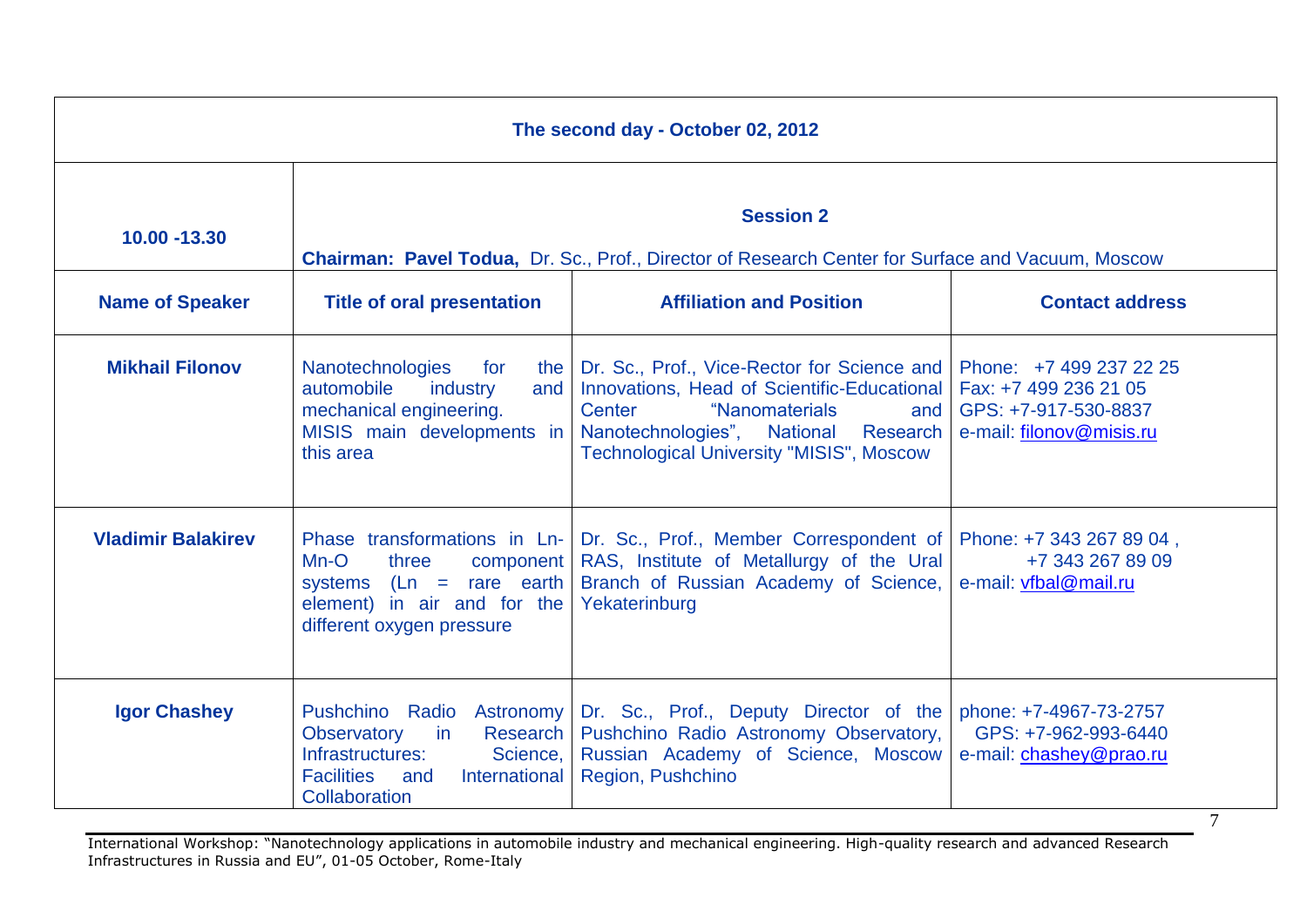| The second day - October 02, 2012 |                                                                                                                                           |                                                                                                                                                                                                                                                                            |                                                                           |
|-----------------------------------|-------------------------------------------------------------------------------------------------------------------------------------------|----------------------------------------------------------------------------------------------------------------------------------------------------------------------------------------------------------------------------------------------------------------------------|---------------------------------------------------------------------------|
| 10.00 - 13.30                     | <b>Session 2</b><br>Chairman: Pavel Todua, Dr. Sc., Prof., Director of Research Center for Surface and Vacuum, Moscow                     |                                                                                                                                                                                                                                                                            |                                                                           |
| <b>Name of Speaker</b>            | <b>Title of oral presentation</b>                                                                                                         | <b>Affiliation and Position</b>                                                                                                                                                                                                                                            | <b>Contact address</b>                                                    |
| <b>Mikhail Filonov</b>            | Nanotechnologies for<br>the<br>automobile<br>industry<br>and<br>mechanical engineering.<br>MISIS main developments in<br>this area        | Dr. Sc., Prof., Vice-Rector for Science and   Phone: +7 499 237 22 25<br>Innovations, Head of Scientific-Educational   Fax: +7 499 236 21 05<br>"Nanomaterials<br>Center<br>and<br>Nanotechnologies", National Research<br><b>Technological University "MISIS", Moscow</b> | GPS: +7-917-530-8837<br>e-mail: filonov@misis.ru                          |
| <b>Vladimir Balakirev</b>         | $Mn-O$<br>component<br>three<br>systems $(Ln = rare earth)$<br>element) in air and for the<br>different oxygen pressure                   | Phase transformations in Ln-   Dr. Sc., Prof., Member Correspondent of   Phone: +7 343 267 89 04,<br>RAS, Institute of Metallurgy of the Ural<br>Branch of Russian Academy of Science,<br>Yekaterinburg                                                                    | +7 343 267 89 09<br>e-mail: vfbal@mail.ru                                 |
| <b>Igor Chashey</b>               | Research<br><b>Observatory</b><br>in<br>Infrastructures:<br>Science,<br><b>Facilities</b><br>International<br>and<br><b>Collaboration</b> | Pushchino Radio Astronomy Dr. Sc., Prof., Deputy Director of the<br>Pushchino Radio Astronomy Observatory,<br>Russian Academy of Science, Moscow<br>Region, Pushchino                                                                                                      | phone: +7-4967-73-2757<br>GPS: +7-962-993-6440<br>e-mail: chashey@prao.ru |

International Workshop: "Nanotechnology applications in automobile industry and mechanical engineering. High-quality research and advanced Research Infrastructures in Russia and EU", 01-05 October, Rome-Italy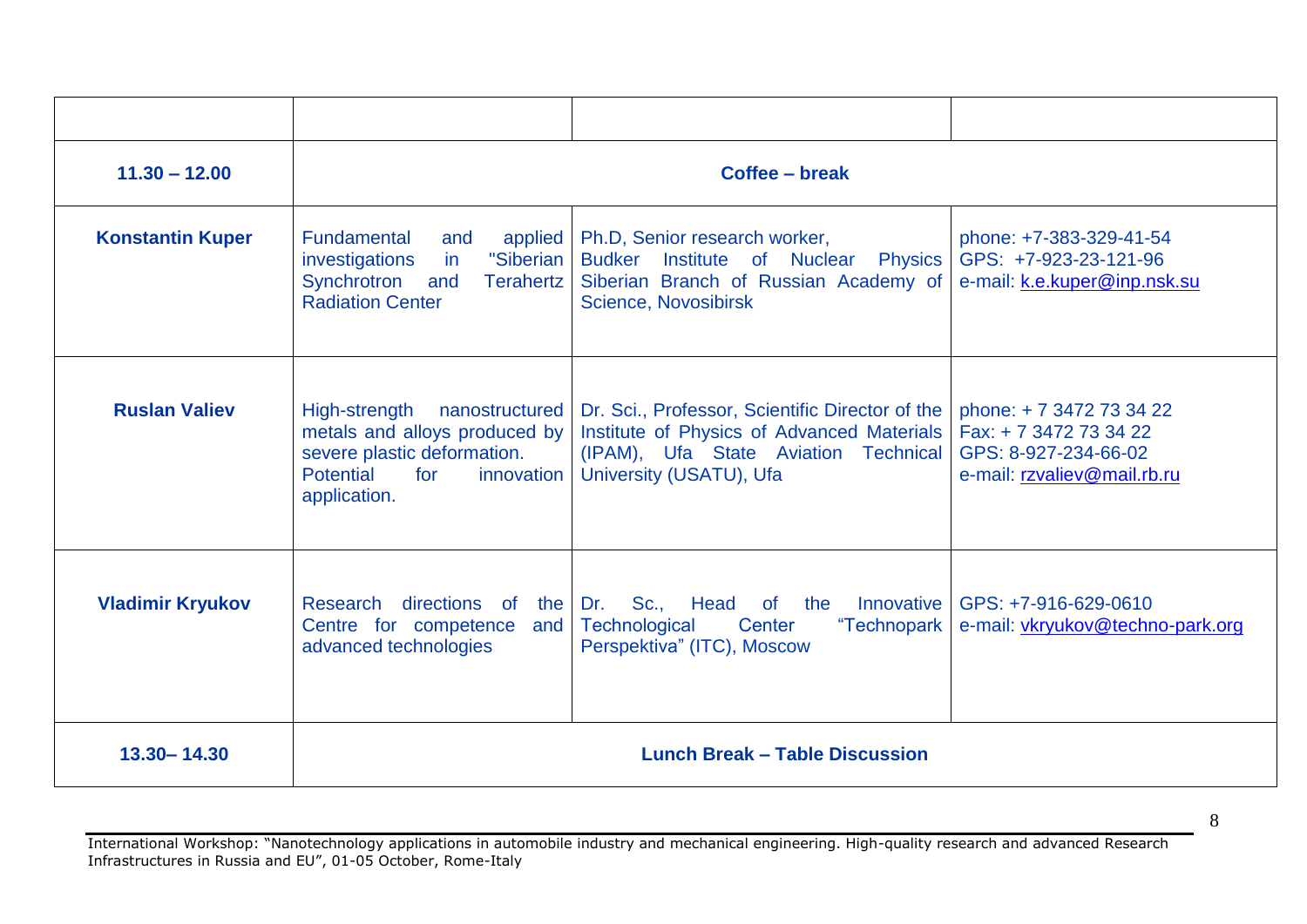| $11.30 - 12.00$         | Coffee - break                                                                                                                                 |                                                                                                                                                                  |                                                                                                         |
|-------------------------|------------------------------------------------------------------------------------------------------------------------------------------------|------------------------------------------------------------------------------------------------------------------------------------------------------------------|---------------------------------------------------------------------------------------------------------|
| <b>Konstantin Kuper</b> | <b>Fundamental</b><br>applied<br>and<br>"Siberian<br>in<br>investigations<br>Synchrotron<br>and<br><b>Terahertz</b><br><b>Radiation Center</b> | Ph.D, Senior research worker,<br>Budker Institute of Nuclear<br><b>Physics</b><br>Siberian Branch of Russian Academy of<br>Science, Novosibirsk                  | phone: +7-383-329-41-54<br>GPS: +7-923-23-121-96<br>e-mail: k.e.kuper@inp.nsk.su                        |
| <b>Ruslan Valiev</b>    | High-strength nanostructured<br>metals and alloys produced by<br>severe plastic deformation.<br>Potential<br>for<br>innovation<br>application. | Dr. Sci., Professor, Scientific Director of the<br>Institute of Physics of Advanced Materials<br>(IPAM), Ufa State Aviation Technical<br>University (USATU), Ufa | phone: +7 3472 73 34 22<br>Fax: +7 3472 73 34 22<br>GPS: 8-927-234-66-02<br>e-mail: rzvaliev@mail.rb.ru |
| <b>Vladimir Kryukov</b> | Research<br>directions of the Dr.<br>Centre for competence<br>and<br>advanced technologies                                                     | Sc., Head of the Innovative<br>Technological<br>Center<br>"Technopark<br>Perspektiva" (ITC), Moscow                                                              | GPS: +7-916-629-0610<br>e-mail: vkryukov@techno-park.org                                                |
| 13.30 - 14.30           |                                                                                                                                                | <b>Lunch Break - Table Discussion</b>                                                                                                                            |                                                                                                         |